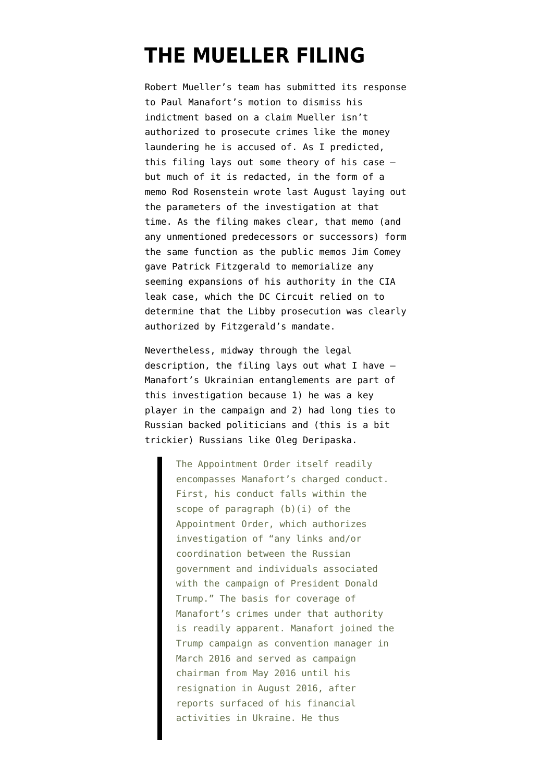# **[THE MUELLER FILING](https://www.emptywheel.net/2018/04/03/the-mueller-filing/)**

Robert Mueller's team has submitted its [response](https://assets.documentcloud.org/documents/4429556/Response-to-motion.pdf) to Paul Manafort's motion to dismiss his indictment based on a claim Mueller isn't authorized to prosecute crimes like the money laundering he is accused of. As I [predicted](https://www.emptywheel.net/2018/03/28/mueller-prepares-to-reveal-the-first-cards-in-the-hack-and-leak-conspiracy/), this filing lays out some theory of his case but much of it is redacted, in the form of a memo Rod Rosenstein wrote last August laying out the parameters of the investigation at that time. As the filing makes clear, that memo (and any unmentioned predecessors or successors) form the same function as the public memos Jim Comey gave Patrick Fitzgerald to memorialize any seeming expansions of his authority in the CIA leak case, which the DC Circuit relied on to determine that the Libby prosecution was clearly authorized by Fitzgerald's mandate.

Nevertheless, midway through the legal description, the filing lays out what I have — Manafort's Ukrainian entanglements are part of this investigation because 1) he was a key player in the campaign and 2) had long ties to Russian backed politicians and (this is a bit trickier) Russians like Oleg Deripaska.

> The Appointment Order itself readily encompasses Manafort's charged conduct. First, his conduct falls within the scope of paragraph (b)(i) of the Appointment Order, which authorizes investigation of "any links and/or coordination between the Russian government and individuals associated with the campaign of President Donald Trump." The basis for coverage of Manafort's crimes under that authority is readily apparent. Manafort joined the Trump campaign as convention manager in March 2016 and served as campaign chairman from May 2016 until his resignation in August 2016, after reports surfaced of his financial activities in Ukraine. He thus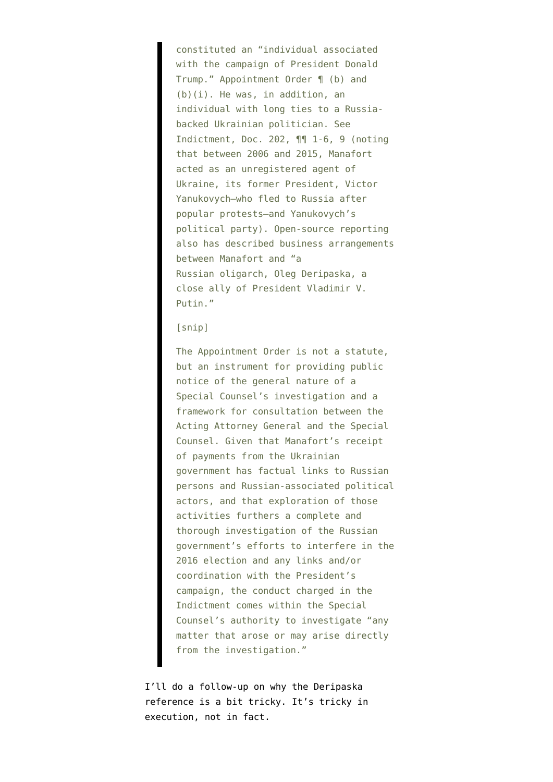constituted an "individual associated with the campaign of President Donald Trump." Appointment Order ¶ (b) and (b)(i). He was, in addition, an individual with long ties to a Russiabacked Ukrainian politician. See Indictment, Doc. 202, ¶¶ 1-6, 9 (noting that between 2006 and 2015, Manafort acted as an unregistered agent of Ukraine, its former President, Victor Yanukovych—who fled to Russia after popular protests—and Yanukovych's political party). Open-source reporting also has described business arrangements between Manafort and "a Russian oligarch, Oleg Deripaska, a close ally of President Vladimir V. Putin."

#### [snip]

The Appointment Order is not a statute, but an instrument for providing public notice of the general nature of a Special Counsel's investigation and a framework for consultation between the Acting Attorney General and the Special Counsel. Given that Manafort's receipt of payments from the Ukrainian government has factual links to Russian persons and Russian-associated political actors, and that exploration of those activities furthers a complete and thorough investigation of the Russian government's efforts to interfere in the 2016 election and any links and/or coordination with the President's campaign, the conduct charged in the Indictment comes within the Special Counsel's authority to investigate "any matter that arose or may arise directly from the investigation."

I'll do a follow-up on why the Deripaska reference is a bit tricky. It's tricky in execution, not in fact.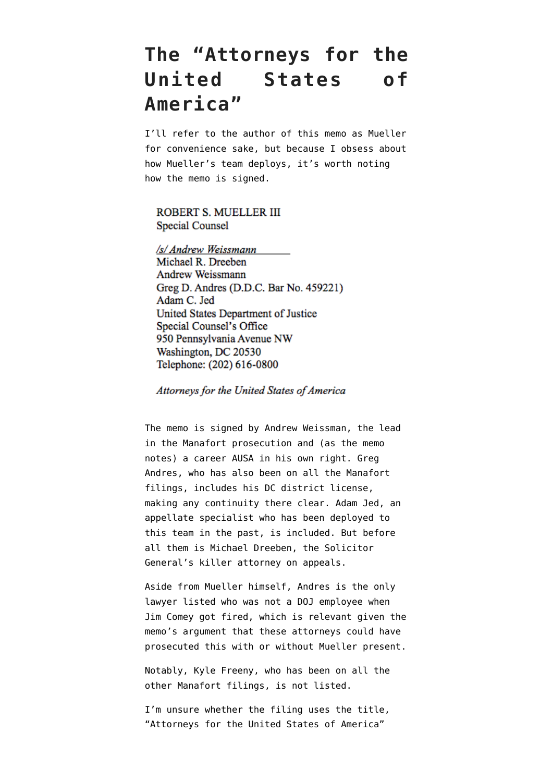### **The "Attorneys for the United States of America"**

I'll refer to the author of this memo as Mueller for convenience sake, but because I [obsess about](https://www.emptywheel.net/2018/02/17/updated-mueller-docket-census-we-still-dont-know-what-6-prosecutors-are-doing/) [how Mueller's team deploys,](https://www.emptywheel.net/2018/02/17/updated-mueller-docket-census-we-still-dont-know-what-6-prosecutors-are-doing/) it's worth noting how the memo is signed.

### ROBERT S. MUELLER III Special Counsel

/s/ Andrew Weissmann Michael R. Dreeben Andrew Weissmann Greg D. Andres (D.D.C. Bar No. 459221) Adam C. Jed United States Department of Justice Special Counsel's Office 950 Pennsylvania Avenue NW Washington, DC 20530 Telephone: (202) 616-0800

Attorneys for the United States of America

The memo is signed by Andrew Weissman, the lead in the Manafort prosecution and (as the memo notes) a career AUSA in his own right. Greg Andres, who has also been on all the Manafort filings, includes his DC district license, making any continuity there clear. Adam Jed, an appellate specialist who has been deployed to this team in the past, is included. But before all them is Michael Dreeben, the Solicitor General's killer attorney on appeals.

Aside from Mueller himself, Andres is the only lawyer listed who was not a DOJ employee when Jim Comey got fired, which is relevant given the memo's argument that these attorneys could have prosecuted this with or without Mueller present.

Notably, Kyle Freeny, who has been on all the other Manafort filings, is not listed.

I'm unsure whether the filing uses the title, "Attorneys for the United States of America"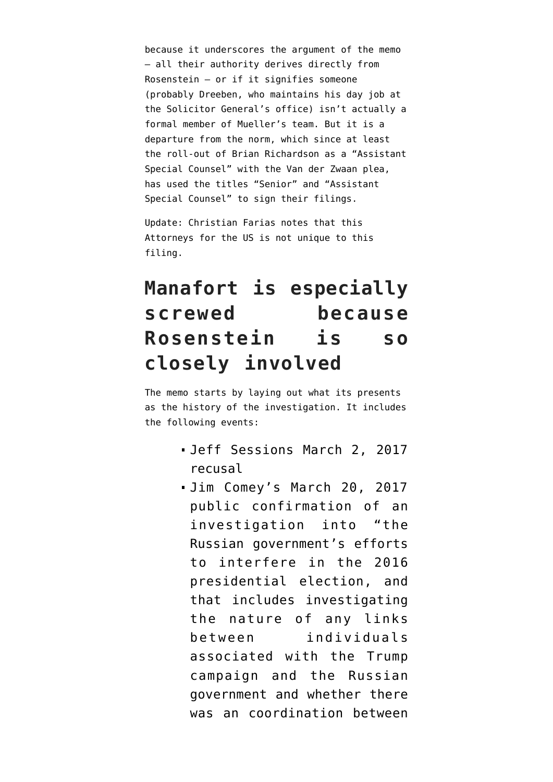because it underscores the argument of the memo — all their authority derives directly from Rosenstein — or if it signifies someone (probably Dreeben, who maintains his day job at the Solicitor General's office) isn't actually a formal member of Mueller's team. But it is a departure from the norm, which since at least the roll-out of Brian Richardson as a "Assistant Special Counsel" with the Van der Zwaan plea, has used the titles "Senior" and "Assistant Special Counsel" to sign their filings.

Update: Christian Farias [notes](https://twitter.com/cristianafarias/status/981268985781084162) that this Attorneys for the US is [not unique to this](https://www.justsecurity.org/wp-content/uploads/2018/02/2-16-18-183-Govt-Response-Manafort-Bail-Proposal.pdf) [filing](https://www.justsecurity.org/wp-content/uploads/2018/02/2-16-18-183-Govt-Response-Manafort-Bail-Proposal.pdf).

# **Manafort is especially screwed because Rosenstein is so closely involved**

The memo starts by laying out what its presents as the history of the investigation. It includes the following events:

- Jeff Sessions March 2, 2017 [recusal](https://www.justice.gov/opa/pr/attorney-general-sessions-statement-recusal)
- Jim Comey's [March 20, 2017](https://www.washingtonpost.com/news/post-politics/wp/2017/03/20/full-transcript-fbi-director-james-comey-testifies-on-russian-interference-in-2016-election/) [public confirmation](https://www.washingtonpost.com/news/post-politics/wp/2017/03/20/full-transcript-fbi-director-james-comey-testifies-on-russian-interference-in-2016-election/) of an investigation into "the Russian government's efforts to interfere in the 2016 presidential election, and that includes investigating the nature of any links between individuals associated with the Trump campaign and the Russian government and whether there was an coordination between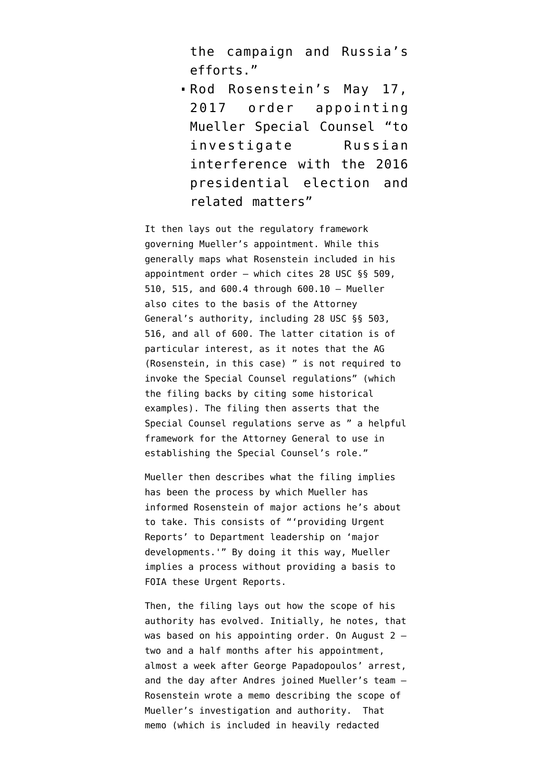the campaign and Russia's efforts."

Rod Rosenstein's [May 17,](https://www.justice.gov/opa/press-release/file/967231/download) [2017 order](https://www.justice.gov/opa/press-release/file/967231/download) appointing Mueller Special Counsel "to investigate Russian interference with the 2016 presidential election and related matters"

It then lays out the regulatory framework governing Mueller's appointment. While this generally maps what Rosenstein included in his appointment order — which cites 28 USC §§ 509, 510, 515, and 600.4 through 600.10 — Mueller also cites to the basis of the Attorney General's authority, including 28 USC §§ 503, 516, and all of 600. The latter citation is of particular interest, as it notes that the AG (Rosenstein, in this case) " is not required to invoke the Special Counsel regulations" (which the filing backs by citing some historical examples). The filing then asserts that the Special Counsel regulations serve as " a helpful framework for the Attorney General to use in establishing the Special Counsel's role."

Mueller then describes what the filing implies has been the process by which Mueller has informed Rosenstein of major actions he's about to take. This consists of "'providing Urgent Reports' to Department leadership on 'major developments.'" By doing it this way, Mueller implies a process without providing a basis to FOIA these Urgent Reports.

Then, the filing lays out how the scope of his authority has evolved. Initially, he notes, that was based on his appointing order. On August  $2$ two and a half months after his appointment, almost a week after George Papadopoulos' arrest, and the [day after](https://www.reuters.com/article/us-usa-trump-russia-lawyer-exclusive/exclusive-former-justice-department-official-joins-mueller-team-idUSKBN1AH5F9) Andres joined Mueller's team — Rosenstein wrote a memo describing the scope of Mueller's investigation and authority. That memo (which is included in heavily redacted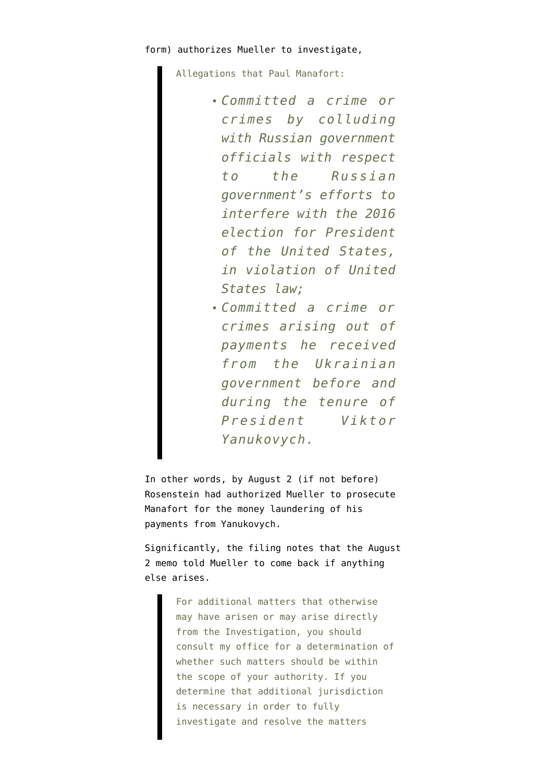Allegations that Paul Manafort:

- *Committed a crime or crimes by colluding with Russian government officials with respect to the Russian government's efforts to interfere with the 2016 election for President of the United States, in violation of United States law;*
- *Committed a crime or crimes arising out of payments he received from the Ukrainian government before and during the tenure of President Viktor Yanukovych.*

In other words, by August 2 (if not before) Rosenstein had authorized Mueller to prosecute Manafort for the money laundering of his payments from Yanukovych.

Significantly, the filing notes that the August 2 memo told Mueller to come back if anything else arises.

> For additional matters that otherwise may have arisen or may arise directly from the Investigation, you should consult my office for a determination of whether such matters should be within the scope of your authority. If you determine that additional jurisdiction is necessary in order to fully investigate and resolve the matters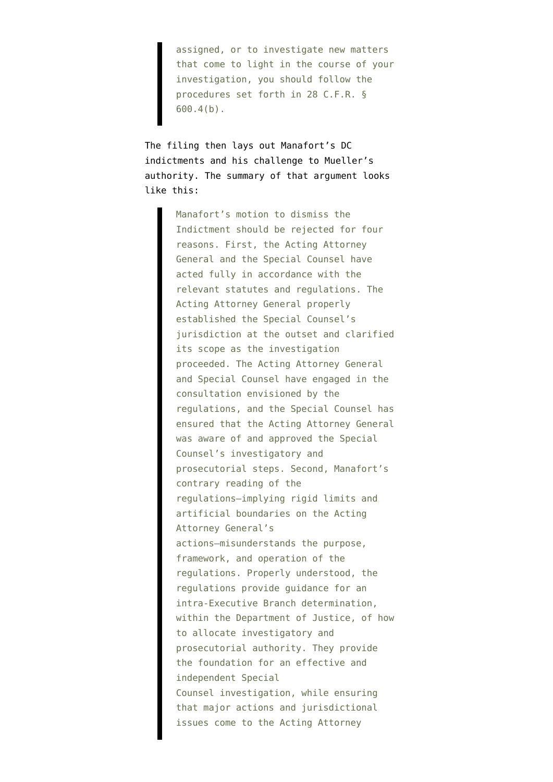assigned, or to investigate new matters that come to light in the course of your investigation, you should follow the procedures set forth in 28 C.F.R. § 600.4(b).

The filing then lays out Manafort's DC indictments and his challenge to Mueller's authority. The summary of that argument looks like this:

> Manafort's motion to dismiss the Indictment should be rejected for four reasons. First, the Acting Attorney General and the Special Counsel have acted fully in accordance with the relevant statutes and regulations. The Acting Attorney General properly established the Special Counsel's jurisdiction at the outset and clarified its scope as the investigation proceeded. The Acting Attorney General and Special Counsel have engaged in the consultation envisioned by the regulations, and the Special Counsel has ensured that the Acting Attorney General was aware of and approved the Special Counsel's investigatory and prosecutorial steps. Second, Manafort's contrary reading of the regulations—implying rigid limits and artificial boundaries on the Acting Attorney General's actions—misunderstands the purpose, framework, and operation of the regulations. Properly understood, the regulations provide guidance for an intra-Executive Branch determination, within the Department of Justice, of how to allocate investigatory and prosecutorial authority. They provide the foundation for an effective and independent Special Counsel investigation, while ensuring that major actions and jurisdictional issues come to the Acting Attorney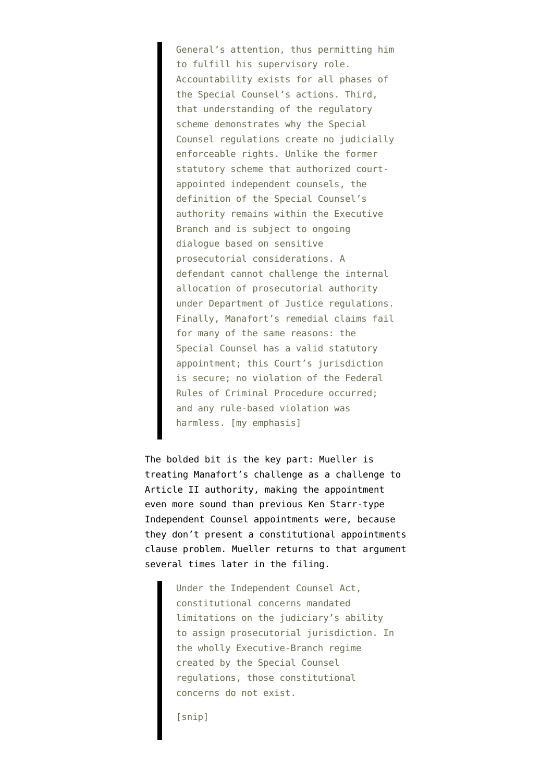General's attention, thus permitting him to fulfill his supervisory role. Accountability exists for all phases of the Special Counsel's actions. Third, that understanding of the regulatory scheme demonstrates why the Special Counsel regulations create no judicially enforceable rights. Unlike the former statutory scheme that authorized courtappointed independent counsels, the definition of the Special Counsel's authority remains within the Executive Branch and is subject to ongoing dialogue based on sensitive prosecutorial considerations. A defendant cannot challenge the internal allocation of prosecutorial authority under Department of Justice regulations. Finally, Manafort's remedial claims fail for many of the same reasons: the Special Counsel has a valid statutory appointment; this Court's jurisdiction is secure; no violation of the Federal Rules of Criminal Procedure occurred; and any rule-based violation was harmless. [my emphasis]

The bolded bit is the key part: Mueller is treating Manafort's challenge as a challenge to Article II authority, making the appointment even more sound than previous Ken Starr-type Independent Counsel appointments were, because they don't present a constitutional appointments clause problem. Mueller returns to that argument several times later in the filing.

> Under the Independent Counsel Act, constitutional concerns mandated limitations on the judiciary's ability to assign prosecutorial jurisdiction. In the wholly Executive-Branch regime created by the Special Counsel regulations, those constitutional concerns do not exist.

[snip]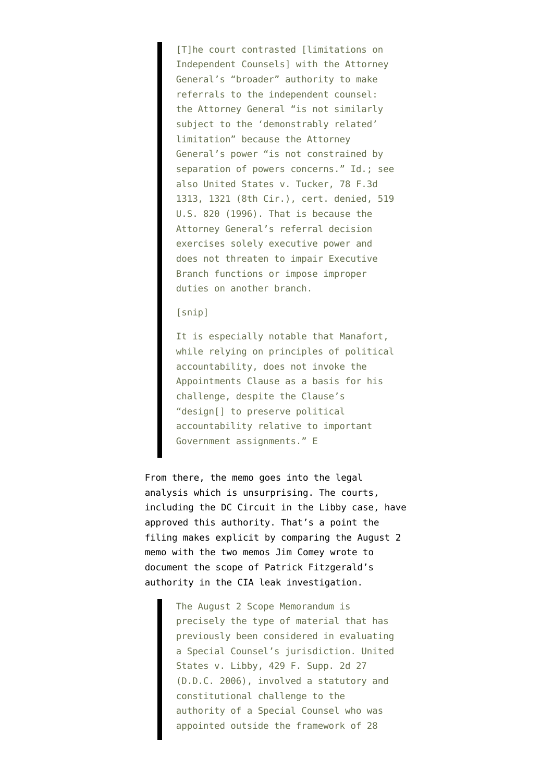[T]he court contrasted [limitations on Independent Counsels] with the Attorney General's "broader" authority to make referrals to the independent counsel: the Attorney General "is not similarly subject to the 'demonstrably related' limitation" because the Attorney General's power "is not constrained by separation of powers concerns." Id.; see also United States v. Tucker, 78 F.3d 1313, 1321 (8th Cir.), cert. denied, 519 U.S. 820 (1996). That is because the Attorney General's referral decision exercises solely executive power and does not threaten to impair Executive Branch functions or impose improper duties on another branch.

[snip]

It is especially notable that Manafort, while relying on principles of political accountability, does not invoke the Appointments Clause as a basis for his challenge, despite the Clause's "design[] to preserve political accountability relative to important Government assignments." E

From there, the memo goes into the legal analysis which is unsurprising. The courts, including the DC Circuit in the Libby case, have approved this authority. That's a point the filing makes explicit by comparing the August 2 memo with the two memos Jim Comey wrote to document the scope of Patrick Fitzgerald's authority in the CIA leak investigation.

> The August 2 Scope Memorandum is precisely the type of material that has previously been considered in evaluating a Special Counsel's jurisdiction. United States v. Libby, 429 F. Supp. 2d 27 (D.D.C. 2006), involved a statutory and constitutional challenge to the authority of a Special Counsel who was appointed outside the framework of 28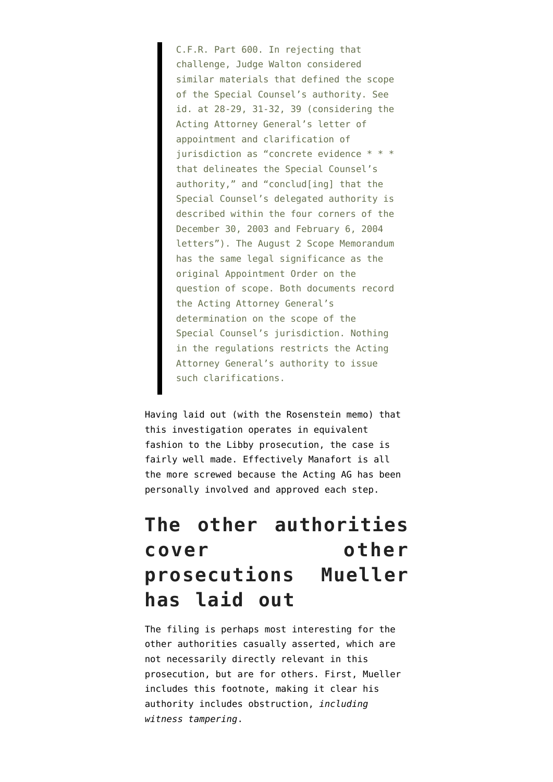C.F.R. Part 600. In rejecting that challenge, Judge Walton considered similar materials that defined the scope of the Special Counsel's authority. See id. at 28-29, 31-32, 39 (considering the Acting Attorney General's letter of appointment and clarification of jurisdiction as "concrete evidence \* \* \* that delineates the Special Counsel's authority," and "conclud[ing] that the Special Counsel's delegated authority is described within the four corners of the December 30, 2003 and February 6, 2004 letters"). The August 2 Scope Memorandum has the same legal significance as the original Appointment Order on the question of scope. Both documents record the Acting Attorney General's determination on the scope of the Special Counsel's jurisdiction. Nothing in the regulations restricts the Acting Attorney General's authority to issue such clarifications.

Having laid out (with the Rosenstein memo) that this investigation operates in equivalent fashion to the Libby prosecution, the case is fairly well made. Effectively Manafort is all the more screwed because the Acting AG has been personally involved and approved each step.

## **The other authorities cover other prosecutions Mueller has laid out**

The filing is perhaps most interesting for the other authorities casually asserted, which are not necessarily directly relevant in this prosecution, but are for others. First, Mueller includes this footnote, making it clear his authority includes obstruction, *including witness tampering*.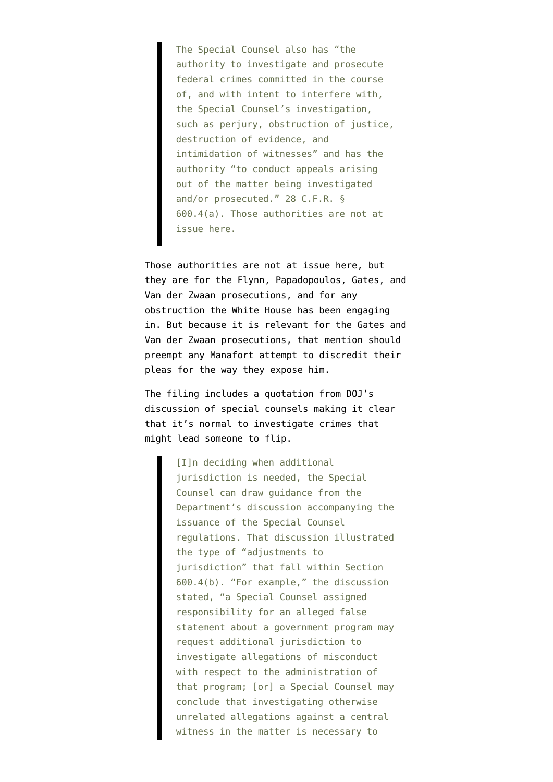The Special Counsel also has "the authority to investigate and prosecute federal crimes committed in the course of, and with intent to interfere with, the Special Counsel's investigation, such as perjury, obstruction of justice, destruction of evidence, and intimidation of witnesses" and has the authority "to conduct appeals arising out of the matter being investigated and/or prosecuted." 28 C.F.R. § 600.4(a). Those authorities are not at issue here.

Those authorities are not at issue here, but they are for the Flynn, Papadopoulos, Gates, and Van der Zwaan prosecutions, and for any obstruction the White House has been engaging in. But because it is relevant for the Gates and Van der Zwaan prosecutions, that mention should preempt any Manafort attempt to discredit their pleas for the way they expose him.

The filing includes a quotation from DOJ's discussion of special counsels making it clear that it's normal to investigate crimes that might lead someone to flip.

> [I]n deciding when additional jurisdiction is needed, the Special Counsel can draw guidance from the Department's discussion accompanying the issuance of the Special Counsel regulations. That discussion illustrated the type of "adjustments to jurisdiction" that fall within Section 600.4(b). "For example," the discussion stated, "a Special Counsel assigned responsibility for an alleged false statement about a government program may request additional jurisdiction to investigate allegations of misconduct with respect to the administration of that program; [or] a Special Counsel may conclude that investigating otherwise unrelated allegations against a central witness in the matter is necessary to